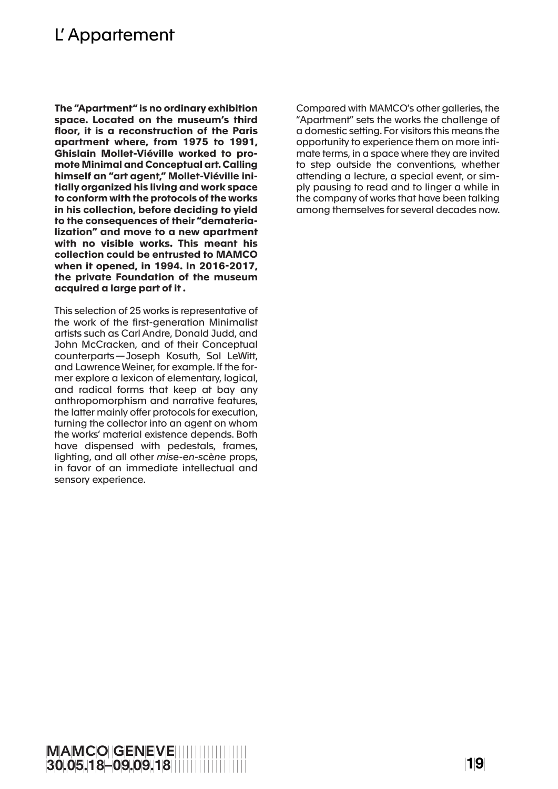## L' Appartement

**The "Apartment" is no ordinary exhibition space. Located on the museum's third floor, it is a reconstruction of the Paris apartment where, from 1975 to 1991, Ghislain Mollet-Viéville worked to promote Minimal and Conceptual art. Calling himself an "art agent," Mollet-Viéville initially organized his living and work space to conform with the protocols of the works in his collection, before deciding to yield to the consequences of their "dematerialization" and move to a new apartment with no visible works. This meant his collection could be entrusted to MAMCO when it opened, in 1994. In 2016-2017, the private Foundation of the museum acquired a large part of it .**

This selection of 25 works is representative of the work of the first-generation Minimalist artists such as Carl Andre, Donald Judd, and John McCracken, and of their Conceptual counterparts—Joseph Kosuth, Sol LeWitt, and Lawrence Weiner, for example. If the former explore a lexicon of elementary, logical, and radical forms that keep at bay any anthropomorphism and narrative features, the latter mainly offer protocols for execution, turning the collector into an agent on whom the works' material existence depends. Both have dispensed with pedestals, frames, lighting, and all other *mise-en-scène* props, in favor of an immediate intellectual and sensory experience.

Compared with MAMCO's other galleries, the "Apartment" sets the works the challenge of a domestic setting. For visitors this means the opportunity to experience them on more intimate terms, in a space where they are invited to step outside the conventions, whether attending a lecture, a special event, or simply pausing to read and to linger a while in the company of works that have been talking among themselves for several decades now.